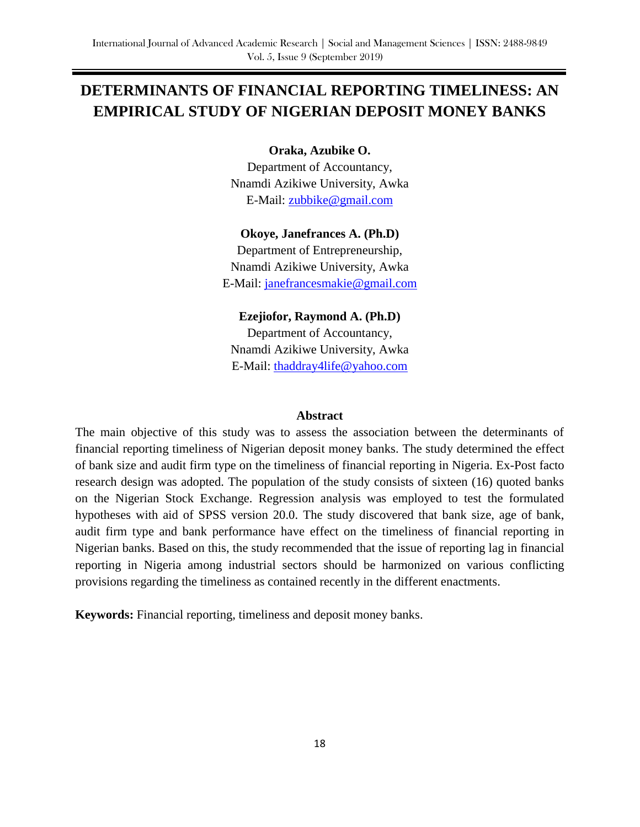# **DETERMINANTS OF FINANCIAL REPORTING TIMELINESS: AN EMPIRICAL STUDY OF NIGERIAN DEPOSIT MONEY BANKS**

**Oraka, Azubike O.**

Department of Accountancy, Nnamdi Azikiwe University, Awka E-Mail: [zubbike@gmail.com](mailto:zubbike@gmail.com)

**Okoye, Janefrances A. (Ph.D)** Department of Entrepreneurship,

Nnamdi Azikiwe University, Awka E-Mail: [janefrancesmakie@gmail.com](mailto:janefrancesmakie@gmail.com)

**Ezejiofor, Raymond A. (Ph.D)** Department of Accountancy, Nnamdi Azikiwe University, Awka E-Mail: [thaddray4life@yahoo.com](mailto:thaddray4life@yahoo.com)

#### **Abstract**

The main objective of this study was to assess the association between the determinants of financial reporting timeliness of Nigerian deposit money banks. The study determined the effect of bank size and audit firm type on the timeliness of financial reporting in Nigeria. Ex-Post facto research design was adopted. The population of the study consists of sixteen (16) quoted banks on the Nigerian Stock Exchange. Regression analysis was employed to test the formulated hypotheses with aid of SPSS version 20.0. The study discovered that bank size, age of bank, audit firm type and bank performance have effect on the timeliness of financial reporting in Nigerian banks. Based on this, the study recommended that the issue of reporting lag in financial reporting in Nigeria among industrial sectors should be harmonized on various conflicting provisions regarding the timeliness as contained recently in the different enactments.

**Keywords:** Financial reporting, timeliness and deposit money banks.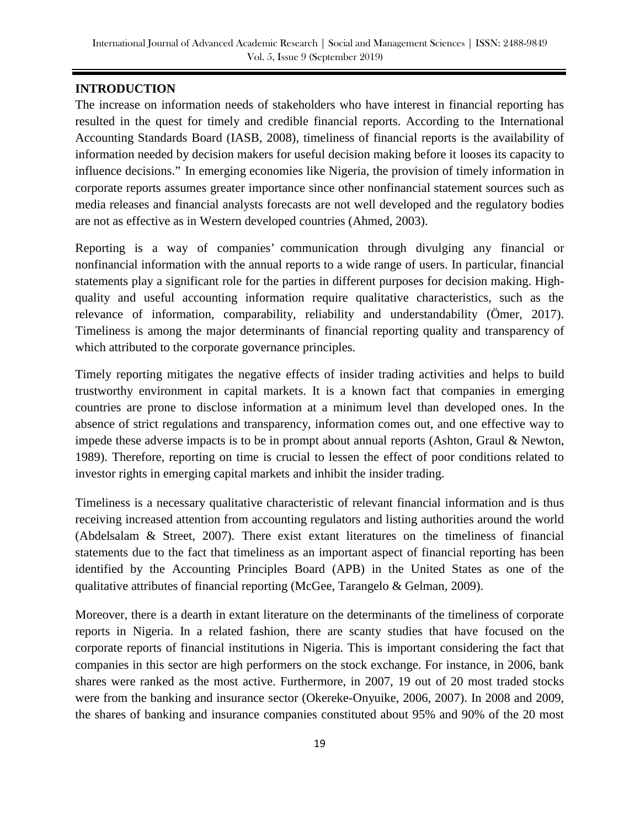# **INTRODUCTION**

The increase on information needs of stakeholders who have interest in financial reporting has resulted in the quest for timely and credible financial reports. According to the International Accounting Standards Board (IASB, 2008), timeliness of financial reports is the availability of information needed by decision makers for useful decision making before it looses its capacity to influence decisions." In emerging economies like Nigeria, the provision of timely information in corporate reports assumes greater importance since other nonfinancial statement sources such as media releases and financial analysts forecasts are not well developed and the regulatory bodies are not as effective as in Western developed countries (Ahmed, 2003).

Reporting is a way of companies' communication through divulging any financial or nonfinancial information with the annual reports to a wide range of users. In particular, financial statements play a significant role for the parties in different purposes for decision making. Highquality and useful accounting information require qualitative characteristics, such as the relevance of information, comparability, reliability and understandability (Ömer, 2017). Timeliness is among the major determinants of financial reporting quality and transparency of which attributed to the corporate governance principles.

Timely reporting mitigates the negative effects of insider trading activities and helps to build trustworthy environment in capital markets. It is a known fact that companies in emerging countries are prone to disclose information at a minimum level than developed ones. In the absence of strict regulations and transparency, information comes out, and one effective way to impede these adverse impacts is to be in prompt about annual reports (Ashton, Graul & Newton, 1989). Therefore, reporting on time is crucial to lessen the effect of poor conditions related to investor rights in emerging capital markets and inhibit the insider trading.

Timeliness is a necessary qualitative characteristic of relevant financial information and is thus receiving increased attention from accounting regulators and listing authorities around the world (Abdelsalam & Street, 2007). There exist extant literatures on the timeliness of financial statements due to the fact that timeliness as an important aspect of financial reporting has been identified by the Accounting Principles Board (APB) in the United States as one of the qualitative attributes of financial reporting (McGee, Tarangelo & Gelman, 2009).

Moreover, there is a dearth in extant literature on the determinants of the timeliness of corporate reports in Nigeria. In a related fashion, there are scanty studies that have focused on the corporate reports of financial institutions in Nigeria. This is important considering the fact that companies in this sector are high performers on the stock exchange. For instance, in 2006, bank shares were ranked as the most active. Furthermore, in 2007, 19 out of 20 most traded stocks were from the banking and insurance sector (Okereke-Onyuike, 2006, 2007). In 2008 and 2009, the shares of banking and insurance companies constituted about 95% and 90% of the 20 most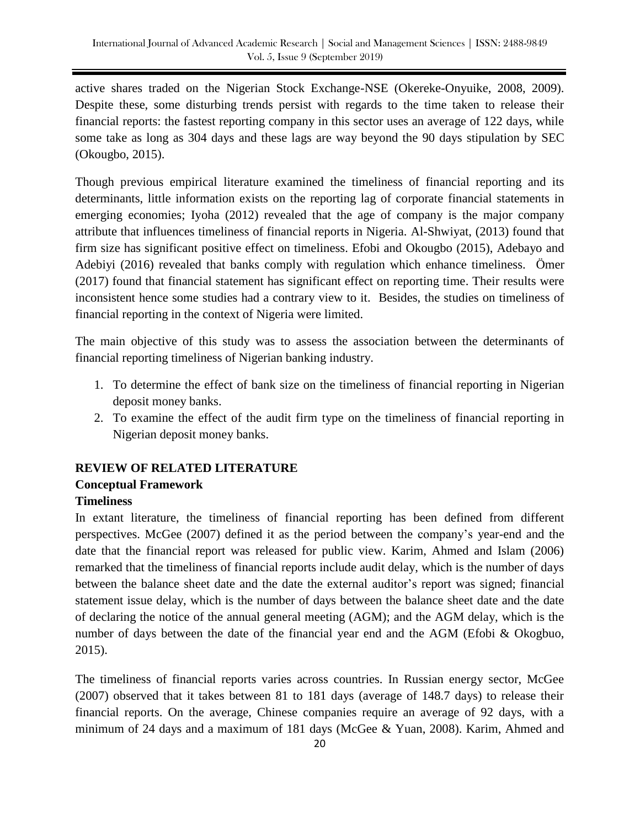active shares traded on the Nigerian Stock Exchange-NSE (Okereke-Onyuike, 2008, 2009). Despite these, some disturbing trends persist with regards to the time taken to release their financial reports: the fastest reporting company in this sector uses an average of 122 days, while some take as long as 304 days and these lags are way beyond the 90 days stipulation by SEC (Okougbo, 2015).

Though previous empirical literature examined the timeliness of financial reporting and its determinants, little information exists on the reporting lag of corporate financial statements in emerging economies; Iyoha (2012) revealed that the age of company is the major company attribute that influences timeliness of financial reports in Nigeria. Al-Shwiyat, (2013) found that firm size has significant positive effect on timeliness. Efobi and Okougbo (2015), Adebayo and Adebiyi (2016) revealed that banks comply with regulation which enhance timeliness. Ömer (2017) found that financial statement has significant effect on reporting time. Their results were inconsistent hence some studies had a contrary view to it. Besides, the studies on timeliness of financial reporting in the context of Nigeria were limited.

The main objective of this study was to assess the association between the determinants of financial reporting timeliness of Nigerian banking industry.

- 1. To determine the effect of bank size on the timeliness of financial reporting in Nigerian deposit money banks.
- 2. To examine the effect of the audit firm type on the timeliness of financial reporting in Nigerian deposit money banks.

# **REVIEW OF RELATED LITERATURE Conceptual Framework**

# **Timeliness**

In extant literature, the timeliness of financial reporting has been defined from different perspectives. McGee (2007) defined it as the period between the company's year-end and the date that the financial report was released for public view. Karim, Ahmed and Islam (2006) remarked that the timeliness of financial reports include audit delay, which is the number of days between the balance sheet date and the date the external auditor's report was signed; financial statement issue delay, which is the number of days between the balance sheet date and the date of declaring the notice of the annual general meeting (AGM); and the AGM delay, which is the number of days between the date of the financial year end and the AGM (Efobi & Okogbuo, 2015).

The timeliness of financial reports varies across countries. In Russian energy sector, McGee (2007) observed that it takes between 81 to 181 days (average of 148.7 days) to release their financial reports. On the average, Chinese companies require an average of 92 days, with a minimum of 24 days and a maximum of 181 days (McGee & Yuan, 2008). Karim, Ahmed and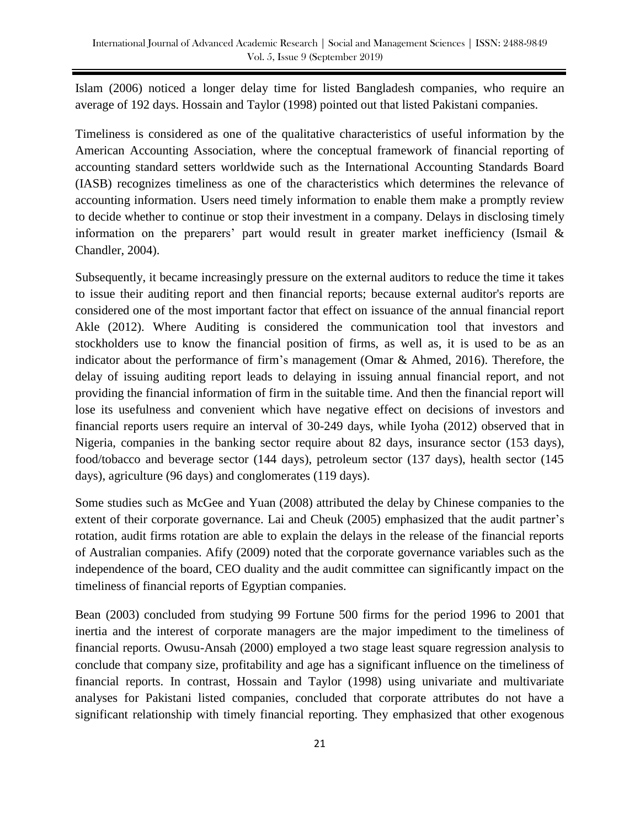Islam (2006) noticed a longer delay time for listed Bangladesh companies, who require an average of 192 days. Hossain and Taylor (1998) pointed out that listed Pakistani companies.

Timeliness is considered as one of the qualitative characteristics of useful information by the American Accounting Association, where the conceptual framework of financial reporting of accounting standard setters worldwide such as the International Accounting Standards Board (IASB) recognizes timeliness as one of the characteristics which determines the relevance of accounting information. Users need timely information to enable them make a promptly review to decide whether to continue or stop their investment in a company. Delays in disclosing timely information on the preparers' part would result in greater market inefficiency (Ismail & Chandler, 2004).

Subsequently, it became increasingly pressure on the external auditors to reduce the time it takes to issue their auditing report and then financial reports; because external auditor's reports are considered one of the most important factor that effect on issuance of the annual financial report Akle (2012). Where Auditing is considered the communication tool that investors and stockholders use to know the financial position of firms, as well as, it is used to be as an indicator about the performance of firm's management (Omar & Ahmed, 2016). Therefore, the delay of issuing auditing report leads to delaying in issuing annual financial report, and not providing the financial information of firm in the suitable time. And then the financial report will lose its usefulness and convenient which have negative effect on decisions of investors and financial reports users require an interval of 30-249 days, while Iyoha (2012) observed that in Nigeria, companies in the banking sector require about 82 days, insurance sector (153 days), food/tobacco and beverage sector (144 days), petroleum sector (137 days), health sector (145 days), agriculture (96 days) and conglomerates (119 days).

Some studies such as McGee and Yuan (2008) attributed the delay by Chinese companies to the extent of their corporate governance. Lai and Cheuk (2005) emphasized that the audit partner's rotation, audit firms rotation are able to explain the delays in the release of the financial reports of Australian companies. Afify (2009) noted that the corporate governance variables such as the independence of the board, CEO duality and the audit committee can significantly impact on the timeliness of financial reports of Egyptian companies.

Bean (2003) concluded from studying 99 Fortune 500 firms for the period 1996 to 2001 that inertia and the interest of corporate managers are the major impediment to the timeliness of financial reports. Owusu-Ansah (2000) employed a two stage least square regression analysis to conclude that company size, profitability and age has a significant influence on the timeliness of financial reports. In contrast, Hossain and Taylor (1998) using univariate and multivariate analyses for Pakistani listed companies, concluded that corporate attributes do not have a significant relationship with timely financial reporting. They emphasized that other exogenous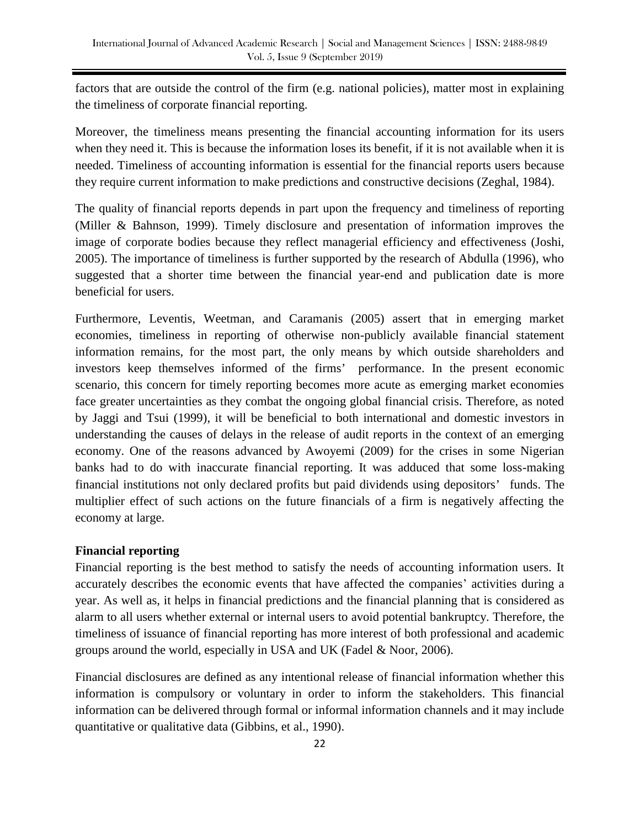factors that are outside the control of the firm (e.g. national policies), matter most in explaining the timeliness of corporate financial reporting.

Moreover, the timeliness means presenting the financial accounting information for its users when they need it. This is because the information loses its benefit, if it is not available when it is needed. Timeliness of accounting information is essential for the financial reports users because they require current information to make predictions and constructive decisions (Zeghal, 1984).

The quality of financial reports depends in part upon the frequency and timeliness of reporting (Miller & Bahnson, 1999). Timely disclosure and presentation of information improves the image of corporate bodies because they reflect managerial efficiency and effectiveness (Joshi, 2005). The importance of timeliness is further supported by the research of Abdulla (1996), who suggested that a shorter time between the financial year-end and publication date is more beneficial for users.

Furthermore, Leventis, Weetman, and Caramanis (2005) assert that in emerging market economies, timeliness in reporting of otherwise non-publicly available financial statement information remains, for the most part, the only means by which outside shareholders and investors keep themselves informed of the firms' performance. In the present economic scenario, this concern for timely reporting becomes more acute as emerging market economies face greater uncertainties as they combat the ongoing global financial crisis. Therefore, as noted by Jaggi and Tsui (1999), it will be beneficial to both international and domestic investors in understanding the causes of delays in the release of audit reports in the context of an emerging economy. One of the reasons advanced by Awoyemi (2009) for the crises in some Nigerian banks had to do with inaccurate financial reporting. It was adduced that some loss-making financial institutions not only declared profits but paid dividends using depositors' funds. The multiplier effect of such actions on the future financials of a firm is negatively affecting the economy at large.

# **Financial reporting**

Financial reporting is the best method to satisfy the needs of accounting information users. It accurately describes the economic events that have affected the companies' activities during a year. As well as, it helps in financial predictions and the financial planning that is considered as alarm to all users whether external or internal users to avoid potential bankruptcy. Therefore, the timeliness of issuance of financial reporting has more interest of both professional and academic groups around the world, especially in USA and UK (Fadel & Noor, 2006).

Financial disclosures are defined as any intentional release of financial information whether this information is compulsory or voluntary in order to inform the stakeholders. This financial information can be delivered through formal or informal information channels and it may include quantitative or qualitative data (Gibbins, et al., 1990).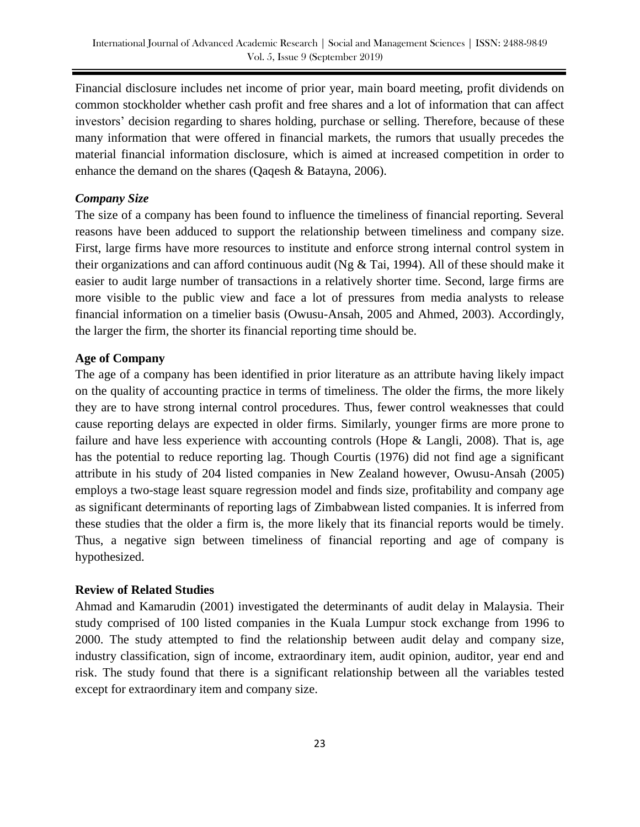Financial disclosure includes net income of prior year, main board meeting, profit dividends on common stockholder whether cash profit and free shares and a lot of information that can affect investors' decision regarding to shares holding, purchase or selling. Therefore, because of these many information that were offered in financial markets, the rumors that usually precedes the material financial information disclosure, which is aimed at increased competition in order to enhance the demand on the shares (Qaqesh & Batayna, 2006).

# *Company Size*

The size of a company has been found to influence the timeliness of financial reporting. Several reasons have been adduced to support the relationship between timeliness and company size. First, large firms have more resources to institute and enforce strong internal control system in their organizations and can afford continuous audit (Ng & Tai, 1994). All of these should make it easier to audit large number of transactions in a relatively shorter time. Second, large firms are more visible to the public view and face a lot of pressures from media analysts to release financial information on a timelier basis (Owusu-Ansah, 2005 and Ahmed, 2003). Accordingly, the larger the firm, the shorter its financial reporting time should be.

### **Age of Company**

The age of a company has been identified in prior literature as an attribute having likely impact on the quality of accounting practice in terms of timeliness. The older the firms, the more likely they are to have strong internal control procedures. Thus, fewer control weaknesses that could cause reporting delays are expected in older firms. Similarly, younger firms are more prone to failure and have less experience with accounting controls (Hope & Langli, 2008). That is, age has the potential to reduce reporting lag. Though Courtis (1976) did not find age a significant attribute in his study of 204 listed companies in New Zealand however, Owusu-Ansah (2005) employs a two-stage least square regression model and finds size, profitability and company age as significant determinants of reporting lags of Zimbabwean listed companies. It is inferred from these studies that the older a firm is, the more likely that its financial reports would be timely. Thus, a negative sign between timeliness of financial reporting and age of company is hypothesized.

### **Review of Related Studies**

Ahmad and Kamarudin (2001) investigated the determinants of audit delay in Malaysia. Their study comprised of 100 listed companies in the Kuala Lumpur stock exchange from 1996 to 2000. The study attempted to find the relationship between audit delay and company size, industry classification, sign of income, extraordinary item, audit opinion, auditor, year end and risk. The study found that there is a significant relationship between all the variables tested except for extraordinary item and company size.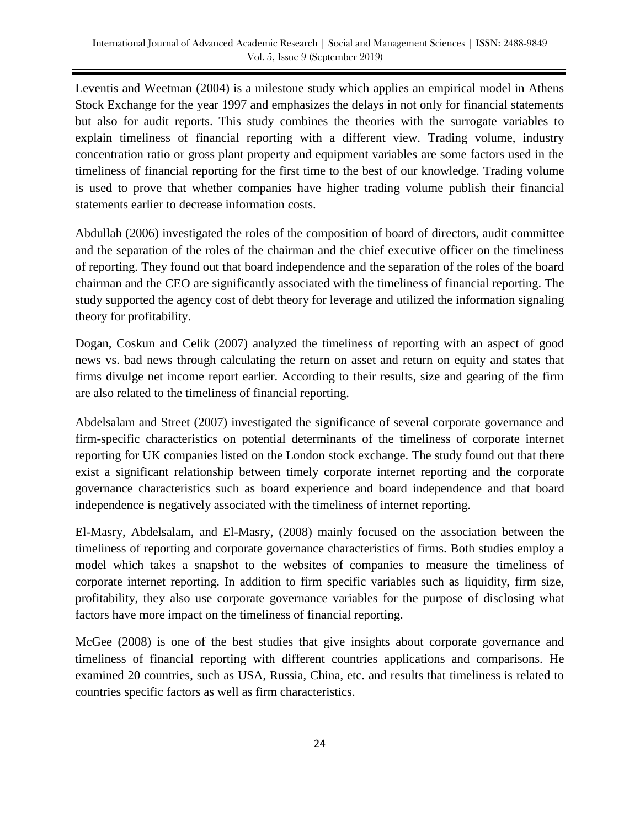Leventis and Weetman (2004) is a milestone study which applies an empirical model in Athens Stock Exchange for the year 1997 and emphasizes the delays in not only for financial statements but also for audit reports. This study combines the theories with the surrogate variables to explain timeliness of financial reporting with a different view. Trading volume, industry concentration ratio or gross plant property and equipment variables are some factors used in the timeliness of financial reporting for the first time to the best of our knowledge. Trading volume is used to prove that whether companies have higher trading volume publish their financial statements earlier to decrease information costs.

Abdullah (2006) investigated the roles of the composition of board of directors, audit committee and the separation of the roles of the chairman and the chief executive officer on the timeliness of reporting. They found out that board independence and the separation of the roles of the board chairman and the CEO are significantly associated with the timeliness of financial reporting. The study supported the agency cost of debt theory for leverage and utilized the information signaling theory for profitability.

Dogan, Coskun and Celik (2007) analyzed the timeliness of reporting with an aspect of good news vs. bad news through calculating the return on asset and return on equity and states that firms divulge net income report earlier. According to their results, size and gearing of the firm are also related to the timeliness of financial reporting.

Abdelsalam and Street (2007) investigated the significance of several corporate governance and firm-specific characteristics on potential determinants of the timeliness of corporate internet reporting for UK companies listed on the London stock exchange. The study found out that there exist a significant relationship between timely corporate internet reporting and the corporate governance characteristics such as board experience and board independence and that board independence is negatively associated with the timeliness of internet reporting.

El-Masry, Abdelsalam, and El-Masry, (2008) mainly focused on the association between the timeliness of reporting and corporate governance characteristics of firms. Both studies employ a model which takes a snapshot to the websites of companies to measure the timeliness of corporate internet reporting. In addition to firm specific variables such as liquidity, firm size, profitability, they also use corporate governance variables for the purpose of disclosing what factors have more impact on the timeliness of financial reporting.

McGee (2008) is one of the best studies that give insights about corporate governance and timeliness of financial reporting with different countries applications and comparisons. He examined 20 countries, such as USA, Russia, China, etc. and results that timeliness is related to countries specific factors as well as firm characteristics.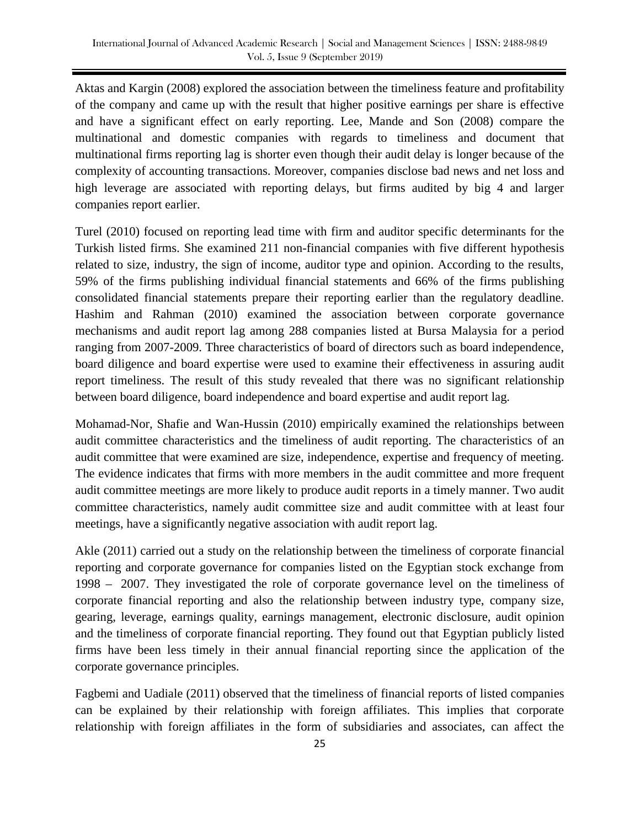Aktas and Kargin (2008) explored the association between the timeliness feature and profitability of the company and came up with the result that higher positive earnings per share is effective and have a significant effect on early reporting. Lee, Mande and Son (2008) compare the multinational and domestic companies with regards to timeliness and document that multinational firms reporting lag is shorter even though their audit delay is longer because of the complexity of accounting transactions. Moreover, companies disclose bad news and net loss and high leverage are associated with reporting delays, but firms audited by big 4 and larger companies report earlier.

Turel (2010) focused on reporting lead time with firm and auditor specific determinants for the Turkish listed firms. She examined 211 non-financial companies with five different hypothesis related to size, industry, the sign of income, auditor type and opinion. According to the results, 59% of the firms publishing individual financial statements and 66% of the firms publishing consolidated financial statements prepare their reporting earlier than the regulatory deadline. Hashim and Rahman (2010) examined the association between corporate governance mechanisms and audit report lag among 288 companies listed at Bursa Malaysia for a period ranging from 2007-2009. Three characteristics of board of directors such as board independence, board diligence and board expertise were used to examine their effectiveness in assuring audit report timeliness. The result of this study revealed that there was no significant relationship between board diligence, board independence and board expertise and audit report lag.

Mohamad-Nor, Shafie and Wan-Hussin (2010) empirically examined the relationships between audit committee characteristics and the timeliness of audit reporting. The characteristics of an audit committee that were examined are size, independence, expertise and frequency of meeting. The evidence indicates that firms with more members in the audit committee and more frequent audit committee meetings are more likely to produce audit reports in a timely manner. Two audit committee characteristics, namely audit committee size and audit committee with at least four meetings, have a significantly negative association with audit report lag.

Akle (2011) carried out a study on the relationship between the timeliness of corporate financial reporting and corporate governance for companies listed on the Egyptian stock exchange from 1998 – 2007. They investigated the role of corporate governance level on the timeliness of corporate financial reporting and also the relationship between industry type, company size, gearing, leverage, earnings quality, earnings management, electronic disclosure, audit opinion and the timeliness of corporate financial reporting. They found out that Egyptian publicly listed firms have been less timely in their annual financial reporting since the application of the corporate governance principles.

Fagbemi and Uadiale (2011) observed that the timeliness of financial reports of listed companies can be explained by their relationship with foreign affiliates. This implies that corporate relationship with foreign affiliates in the form of subsidiaries and associates, can affect the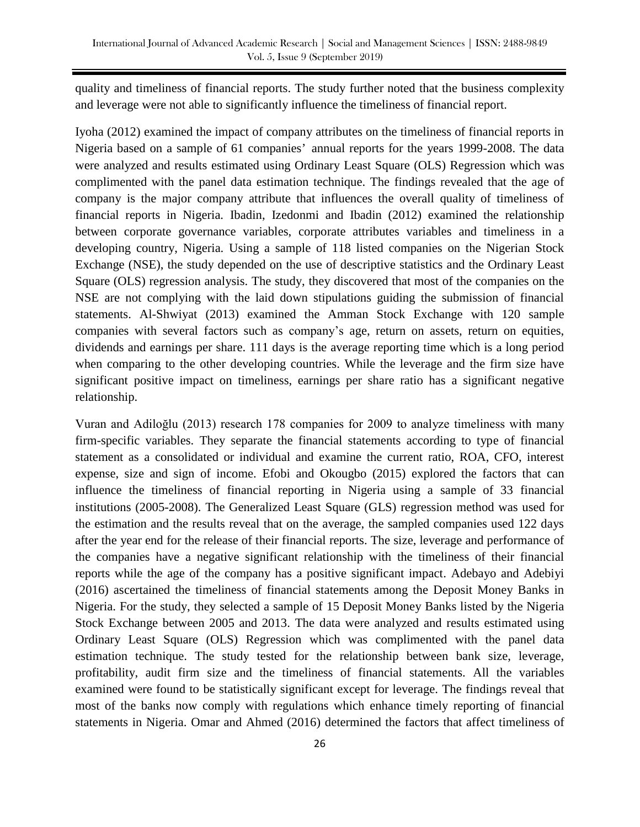quality and timeliness of financial reports. The study further noted that the business complexity and leverage were not able to significantly influence the timeliness of financial report.

Iyoha (2012) examined the impact of company attributes on the timeliness of financial reports in Nigeria based on a sample of 61 companies' annual reports for the years 1999-2008. The data were analyzed and results estimated using Ordinary Least Square (OLS) Regression which was complimented with the panel data estimation technique. The findings revealed that the age of company is the major company attribute that influences the overall quality of timeliness of financial reports in Nigeria. Ibadin, Izedonmi and Ibadin (2012) examined the relationship between corporate governance variables, corporate attributes variables and timeliness in a developing country, Nigeria. Using a sample of 118 listed companies on the Nigerian Stock Exchange (NSE), the study depended on the use of descriptive statistics and the Ordinary Least Square (OLS) regression analysis. The study, they discovered that most of the companies on the NSE are not complying with the laid down stipulations guiding the submission of financial statements. Al-Shwiyat (2013) examined the Amman Stock Exchange with 120 sample companies with several factors such as company's age, return on assets, return on equities, dividends and earnings per share. 111 days is the average reporting time which is a long period when comparing to the other developing countries. While the leverage and the firm size have significant positive impact on timeliness, earnings per share ratio has a significant negative relationship.

Vuran and Adiloğlu (2013) research 178 companies for 2009 to analyze timeliness with many firm-specific variables. They separate the financial statements according to type of financial statement as a consolidated or individual and examine the current ratio, ROA, CFO, interest expense, size and sign of income. Efobi and Okougbo (2015) explored the factors that can influence the timeliness of financial reporting in Nigeria using a sample of 33 financial institutions (2005-2008). The Generalized Least Square (GLS) regression method was used for the estimation and the results reveal that on the average, the sampled companies used 122 days after the year end for the release of their financial reports. The size, leverage and performance of the companies have a negative significant relationship with the timeliness of their financial reports while the age of the company has a positive significant impact. Adebayo and Adebiyi (2016) ascertained the timeliness of financial statements among the Deposit Money Banks in Nigeria. For the study, they selected a sample of 15 Deposit Money Banks listed by the Nigeria Stock Exchange between 2005 and 2013. The data were analyzed and results estimated using Ordinary Least Square (OLS) Regression which was complimented with the panel data estimation technique. The study tested for the relationship between bank size, leverage, profitability, audit firm size and the timeliness of financial statements. All the variables examined were found to be statistically significant except for leverage. The findings reveal that most of the banks now comply with regulations which enhance timely reporting of financial statements in Nigeria. Omar and Ahmed (2016) determined the factors that affect timeliness of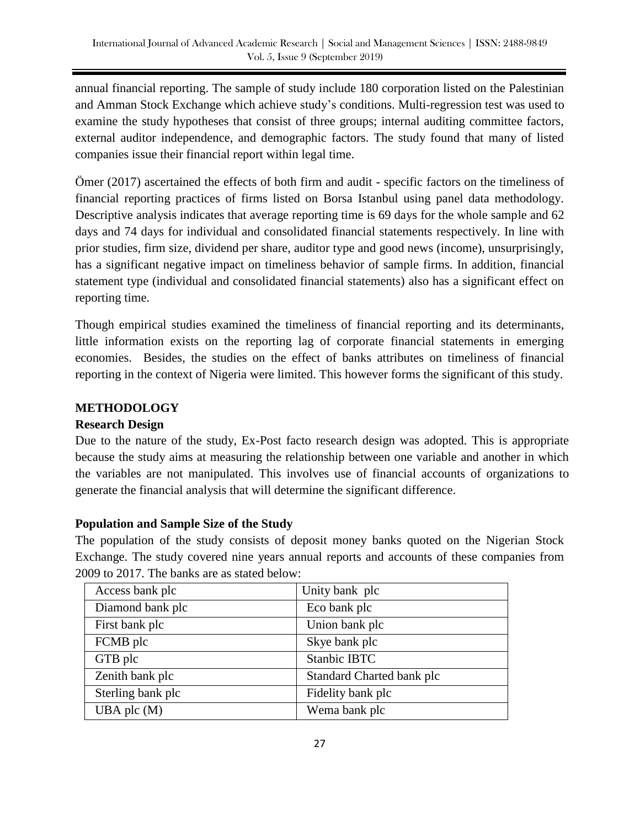annual financial reporting. The sample of study include 180 corporation listed on the Palestinian and Amman Stock Exchange which achieve study's conditions. Multi-regression test was used to examine the study hypotheses that consist of three groups; internal auditing committee factors, external auditor independence, and demographic factors. The study found that many of listed companies issue their financial report within legal time.

Ömer (2017) ascertained the effects of both firm and audit - specific factors on the timeliness of financial reporting practices of firms listed on Borsa Istanbul using panel data methodology. Descriptive analysis indicates that average reporting time is 69 days for the whole sample and 62 days and 74 days for individual and consolidated financial statements respectively. In line with prior studies, firm size, dividend per share, auditor type and good news (income), unsurprisingly, has a significant negative impact on timeliness behavior of sample firms. In addition, financial statement type (individual and consolidated financial statements) also has a significant effect on reporting time.

Though empirical studies examined the timeliness of financial reporting and its determinants, little information exists on the reporting lag of corporate financial statements in emerging economies. Besides, the studies on the effect of banks attributes on timeliness of financial reporting in the context of Nigeria were limited. This however forms the significant of this study.

# **METHODOLOGY**

# **Research Design**

Due to the nature of the study, Ex-Post facto research design was adopted. This is appropriate because the study aims at measuring the relationship between one variable and another in which the variables are not manipulated. This involves use of financial accounts of organizations to generate the financial analysis that will determine the significant difference.

# **Population and Sample Size of the Study**

The population of the study consists of deposit money banks quoted on the Nigerian Stock Exchange. The study covered nine years annual reports and accounts of these companies from 2009 to 2017. The banks are as stated below:

| Access bank plc   | Unity bank plc            |
|-------------------|---------------------------|
| Diamond bank plc  | Eco bank plc              |
| First bank plc    | Union bank plc            |
| FCMB plc          | Skye bank plc             |
| GTB plc           | <b>Stanbic IBTC</b>       |
| Zenith bank plc   | Standard Charted bank plc |
| Sterling bank plc | Fidelity bank plc         |
| UBA plc $(M)$     | Wema bank plc             |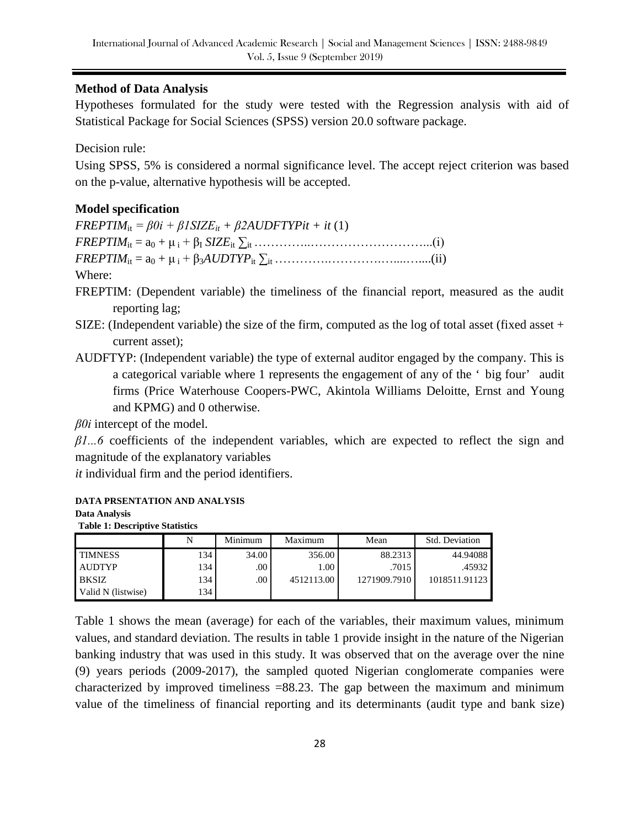# **Method of Data Analysis**

Hypotheses formulated for the study were tested with the Regression analysis with aid of Statistical Package for Social Sciences (SPSS) version 20.0 software package.

Decision rule:

Using SPSS, 5% is considered a normal significance level. The accept reject criterion was based on the p-value, alternative hypothesis will be accepted.

# **Model specification**

 $FREFIM_{it} = \beta 0i + \beta ISIZE_{it} + \beta 2AUDFTYPit + it(1)$  $FREFTIM_{it} = a_0 + \mu_i + \beta_I SIZE_{it} \sum_{it} (1 - \mu_i)$  $FREFIM_{it} = a_0 + \mu_i + \beta_3AUDTYP_{it} \sum_{i}$ Where:

FREPTIM: (Dependent variable) the timeliness of the financial report, measured as the audit reporting lag;

- SIZE: (Independent variable) the size of the firm, computed as the log of total asset (fixed asset + current asset);
- AUDFTYP: (Independent variable) the type of external auditor engaged by the company. This is a categorical variable where 1 represents the engagement of any of the ' big four' audit firms (Price Waterhouse Coopers-PWC, Akintola Williams Deloitte, Ernst and Young and KPMG) and 0 otherwise.

*β0i* intercept of the model.

*β1...6* coefficients of the independent variables, which are expected to reflect the sign and magnitude of the explanatory variables

*it* individual firm and the period identifiers.

**DATA PRSENTATION AND ANALYSIS Data Analysis Table 1: Descriptive Statistics**

|                    | N   | Minimum          | Maximum    | Mean         | Std. Deviation |
|--------------------|-----|------------------|------------|--------------|----------------|
| <b>TIMNESS</b>     | 134 | 34.00            | 356.00     | 88.2313      | 44.94088       |
| <b>AUDTYP</b>      | 134 | .00 <sub>1</sub> | 1.00       | .7015        | .45932         |
| <b>BKSIZ</b>       | 134 | .00 <sub>1</sub> | 4512113.00 | 1271909.7910 | 1018511.91123  |
| Valid N (listwise) | 134 |                  |            |              |                |

Table 1 shows the mean (average) for each of the variables, their maximum values, minimum values, and standard deviation. The results in table 1 provide insight in the nature of the Nigerian banking industry that was used in this study. It was observed that on the average over the nine (9) years periods (2009-2017), the sampled quoted Nigerian conglomerate companies were characterized by improved timeliness  $=88.23$ . The gap between the maximum and minimum value of the timeliness of financial reporting and its determinants (audit type and bank size)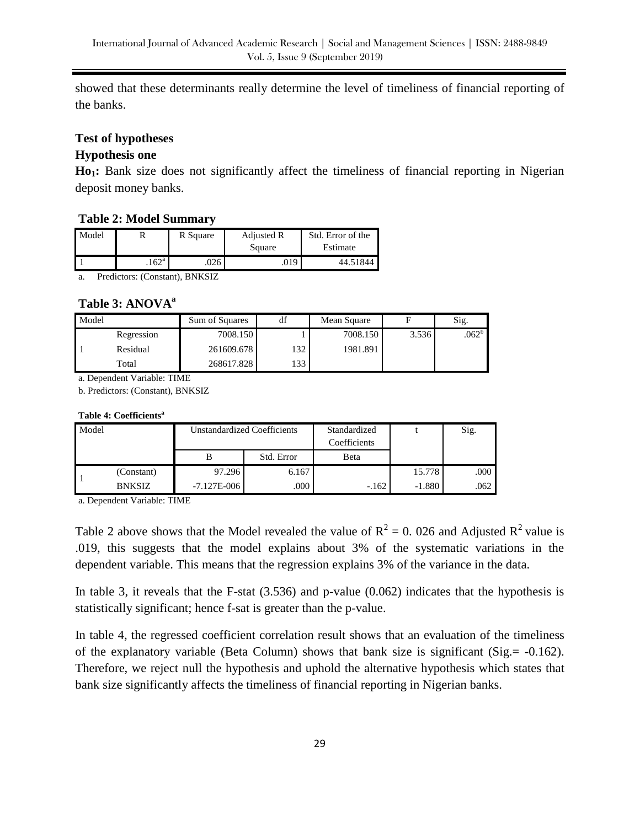showed that these determinants really determine the level of timeliness of financial reporting of the banks.

#### **Test of hypotheses**

### **Hypothesis one**

**Ho1:** Bank size does not significantly affect the timeliness of financial reporting in Nigerian deposit money banks.

### **Table 2: Model Summary**

| Model |                | R Square | Adjusted R | Std. Error of the |
|-------|----------------|----------|------------|-------------------|
|       |                |          | Square     | Estimate          |
|       | $.162^{\rm a}$ | 026      | .019       | 44.51844          |

a. Predictors: (Constant), BNKSIZ

#### **Table 3: ANOVA<sup>a</sup>**

| Model |            | Sum of Squares | df  | Mean Square |       | Sig.     |
|-------|------------|----------------|-----|-------------|-------|----------|
|       | Regression | 7008.150       |     | 7008.150    | 3.536 | $.062^b$ |
|       | Residual   | 261609.678     | 132 | 1981.891    |       |          |
|       | Total      | 268617.828     | 133 |             |       |          |

a. Dependent Variable: TIME

b. Predictors: (Constant), BNKSIZ

#### **Table 4: Coefficients<sup>a</sup>**

| Model<br><b>Unstandardized Coefficients</b> |               | Standardized<br>Coefficients |            | Sig.    |          |      |
|---------------------------------------------|---------------|------------------------------|------------|---------|----------|------|
|                                             |               |                              | Std. Error | Beta    |          |      |
|                                             | (Constant)    | 97.296                       | 6.167      |         | 15.778   | .000 |
|                                             | <b>BNKSIZ</b> | $-7.127E - 006$              | .000       | $-.162$ | $-1.880$ | .062 |

a. Dependent Variable: TIME

Table 2 above shows that the Model revealed the value of  $R^2 = 0$ . 026 and Adjusted  $R^2$  value is .019, this suggests that the model explains about 3% of the systematic variations in the dependent variable. This means that the regression explains 3% of the variance in the data.

In table 3, it reveals that the F-stat (3.536) and p-value (0.062) indicates that the hypothesis is statistically significant; hence f-sat is greater than the p-value.

In table 4, the regressed coefficient correlation result shows that an evaluation of the timeliness of the explanatory variable (Beta Column) shows that bank size is significant (Sig.= -0.162). Therefore, we reject null the hypothesis and uphold the alternative hypothesis which states that bank size significantly affects the timeliness of financial reporting in Nigerian banks.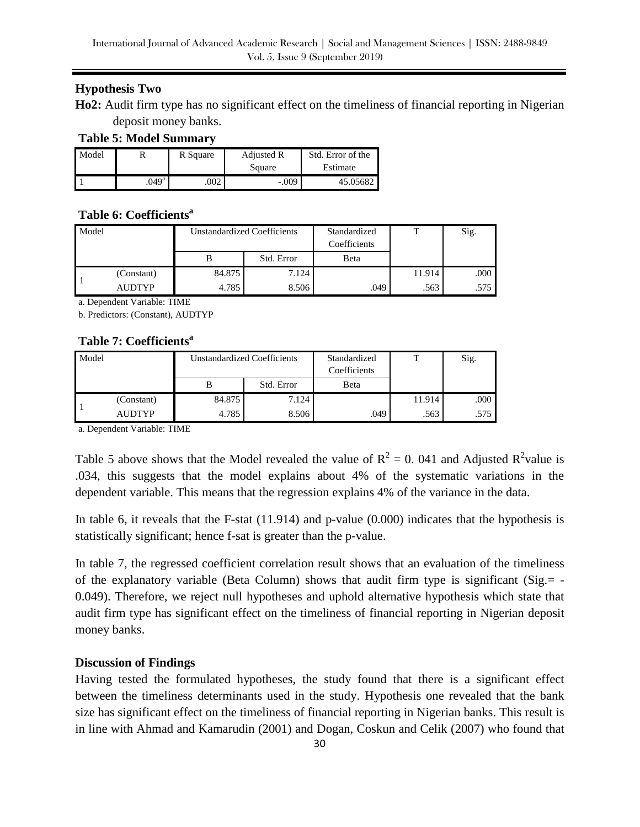# **Hypothesis Two**

**Ho2:** Audit firm type has no significant effect on the timeliness of financial reporting in Nigerian deposit money banks.

### **Table 5: Model Summary**

| Model |                | R Square | <b>Adjusted R</b> | Std. Error of the |
|-------|----------------|----------|-------------------|-------------------|
|       |                |          | Square            | Estimate          |
|       | $.049^{\rm a}$ | 002      | $-.009$           | 45.05682          |

# **Table 6: Coefficients<sup>a</sup>**

| Model |               | Unstandardized Coefficients |            | Standardized<br>Coefficients |        | Sig.     |
|-------|---------------|-----------------------------|------------|------------------------------|--------|----------|
|       |               |                             | Std. Error | Beta                         |        |          |
|       | (Constant)    | 84.875                      | 7.124      |                              | 11.914 | $.000\,$ |
|       | <b>AUDTYP</b> | 4.785                       | 8.506      | .049                         | .563   | .575     |

a. Dependent Variable: TIME

b. Predictors: (Constant), AUDTYP

# **Table 7: Coefficients<sup>a</sup>**

| Model |               | <b>Unstandardized Coefficients</b> |            | Standardized<br>Coefficients | m      | Sig. |
|-------|---------------|------------------------------------|------------|------------------------------|--------|------|
|       |               |                                    | Std. Error | Beta                         |        |      |
|       | (Constant)    | 84.875                             | 7.124      |                              | 11.914 | .000 |
|       | <b>AUDTYP</b> | 4.785                              | 8.506      | .049                         | .563   | .575 |

a. Dependent Variable: TIME

Table 5 above shows that the Model revealed the value of  $R^2 = 0$ . 041 and Adjusted  $R^2$ value is .034, this suggests that the model explains about 4% of the systematic variations in the dependent variable. This means that the regression explains 4% of the variance in the data.

In table 6, it reveals that the F-stat (11.914) and p-value (0.000) indicates that the hypothesis is statistically significant; hence f-sat is greater than the p-value.

In table 7, the regressed coefficient correlation result shows that an evaluation of the timeliness of the explanatory variable (Beta Column) shows that audit firm type is significant (Sig.= - 0.049). Therefore, we reject null hypotheses and uphold alternative hypothesis which state that audit firm type has significant effect on the timeliness of financial reporting in Nigerian deposit money banks.

# **Discussion of Findings**

Having tested the formulated hypotheses, the study found that there is a significant effect between the timeliness determinants used in the study. Hypothesis one revealed that the bank size has significant effect on the timeliness of financial reporting in Nigerian banks. This result is in line with Ahmad and Kamarudin (2001) and Dogan, Coskun and Celik (2007) who found that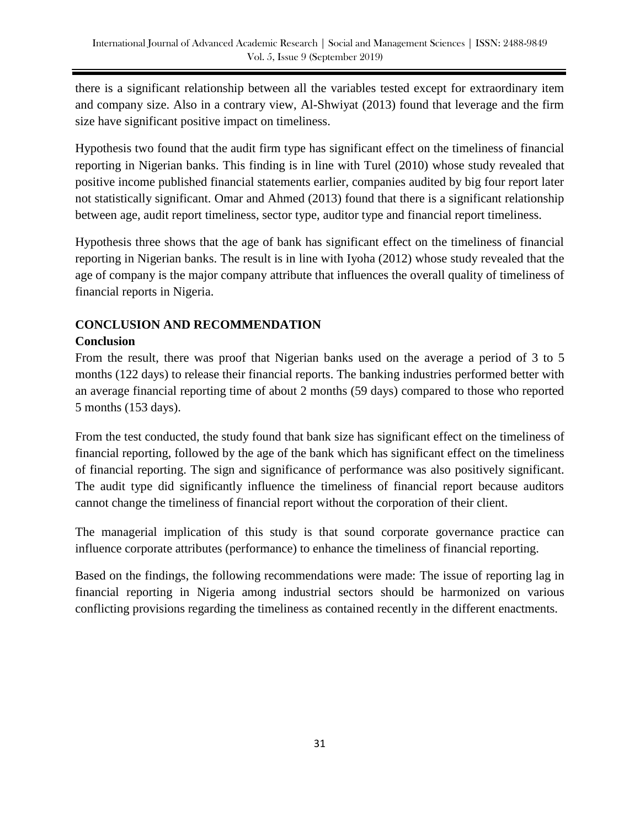there is a significant relationship between all the variables tested except for extraordinary item and company size. Also in a contrary view, Al-Shwiyat (2013) found that leverage and the firm size have significant positive impact on timeliness.

Hypothesis two found that the audit firm type has significant effect on the timeliness of financial reporting in Nigerian banks. This finding is in line with Turel (2010) whose study revealed that positive income published financial statements earlier, companies audited by big four report later not statistically significant. Omar and Ahmed (2013) found that there is a significant relationship between age, audit report timeliness, sector type, auditor type and financial report timeliness.

Hypothesis three shows that the age of bank has significant effect on the timeliness of financial reporting in Nigerian banks. The result is in line with Iyoha (2012) whose study revealed that the age of company is the major company attribute that influences the overall quality of timeliness of financial reports in Nigeria.

# **CONCLUSION AND RECOMMENDATION**

# **Conclusion**

From the result, there was proof that Nigerian banks used on the average a period of 3 to 5 months (122 days) to release their financial reports. The banking industries performed better with an average financial reporting time of about 2 months (59 days) compared to those who reported 5 months (153 days).

From the test conducted, the study found that bank size has significant effect on the timeliness of financial reporting, followed by the age of the bank which has significant effect on the timeliness of financial reporting. The sign and significance of performance was also positively significant. The audit type did significantly influence the timeliness of financial report because auditors cannot change the timeliness of financial report without the corporation of their client.

The managerial implication of this study is that sound corporate governance practice can influence corporate attributes (performance) to enhance the timeliness of financial reporting.

Based on the findings, the following recommendations were made: The issue of reporting lag in financial reporting in Nigeria among industrial sectors should be harmonized on various conflicting provisions regarding the timeliness as contained recently in the different enactments.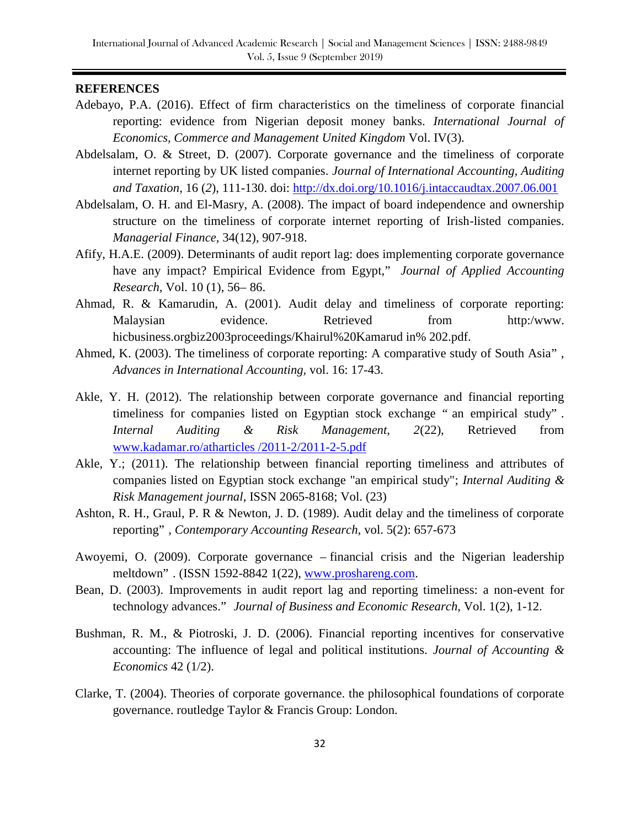#### **REFERENCES**

- Adebayo, P.A. (2016). Effect of firm characteristics on the timeliness of corporate financial reporting: evidence from Nigerian deposit money banks. *International Journal of Economics, Commerce and Management United Kingdom* Vol. IV(3).
- Abdelsalam, O. & Street, D. (2007). Corporate governance and the timeliness of corporate internet reporting by UK listed companies. *Journal of International Accounting, Auditing and Taxation*, 16 (*2*), 111-130. doi:<http://dx.doi.org/10.1016/j.intaccaudtax.2007.06.001>
- Abdelsalam, O. H. and El-Masry, A. (2008). The impact of board independence and ownership structure on the timeliness of corporate internet reporting of Irish-listed companies. *Managerial Finance,* 34(12), 907-918.
- Afify, H.A.E. (2009). Determinants of audit report lag: does implementing corporate governance have any impact? Empirical Evidence from Egypt," *Journal of Applied Accounting Research,* Vol. 10 (1), 56– 86.
- Ahmad, R. & Kamarudin, A. (2001). Audit delay and timeliness of corporate reporting: Malaysian evidence. Retrieved from http:/www. hicbusiness.orgbiz2003proceedings/Khairul%20Kamarud in% 202.pdf.
- Ahmed, K. (2003). The timeliness of corporate reporting: A comparative study of South Asia" , *Advances in International Accounting,* vol. 16: 17-43.
- Akle, Y. H. (2012). The relationship between corporate governance and financial reporting timeliness for companies listed on Egyptian stock exchange " an empirical study" . *Internal Auditing & Risk Management, 2*(22), Retrieved from [www.kadamar.ro/atharticles /2011-2/2011-2-5.pdf](http://www.kadamar.ro/atharticles%20/2011-2/2011-2-5.pdf)
- Akle, Y.; (2011). The relationship between financial reporting timeliness and attributes of companies listed on Egyptian stock exchange "an empirical study"; *Internal Auditing & Risk Management journal*, ISSN 2065-8168; Vol. (23)
- Ashton, R. H., Graul, P. R & Newton, J. D. (1989). Audit delay and the timeliness of corporate reporting" , *Contemporary Accounting Research,* vol. 5(2): 657-673
- Awoyemi, O. (2009). Corporate governance financial crisis and the Nigerian leadership meltdown" . (ISSN 1592-8842 1(22), [www.proshareng.com.](http://www.proshareng.com/)
- Bean, D. (2003). Improvements in audit report lag and reporting timeliness: a non-event for technology advances." *Journal of Business and Economic Research*, Vol. 1(2), 1-12.
- Bushman, R. M., & Piotroski, J. D. (2006). Financial reporting incentives for conservative accounting: The influence of legal and political institutions. *Journal of Accounting & Economics* 42 (1/2).
- Clarke, T. (2004). Theories of corporate governance. the philosophical foundations of corporate governance. routledge Taylor & Francis Group: London.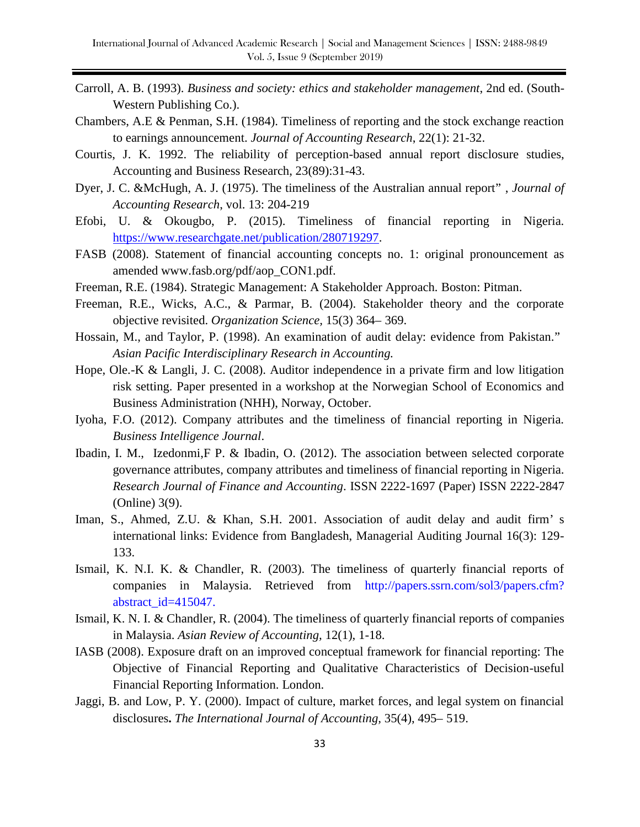- Carroll, A. B. (1993). *Business and society: ethics and stakeholder management*, 2nd ed. (South-Western Publishing Co.).
- Chambers, A.E & Penman, S.H. (1984). Timeliness of reporting and the stock exchange reaction to earnings announcement. *Journal of Accounting Research*, 22(1): 21-32.
- Courtis, J. K. 1992. The reliability of perception-based annual report disclosure studies, Accounting and Business Research, 23(89):31-43.
- Dyer, J. C. &McHugh, A. J. (1975). The timeliness of the Australian annual report" , *Journal of Accounting Research*, vol. 13: 204-219
- Efobi, U. & Okougbo, P. (2015). Timeliness of financial reporting in Nigeria. [https://www.researchgate.net/publication/280719297.](https://www.researchgate.net/publication/280719297)
- FASB (2008). Statement of financial accounting concepts no. 1: original pronouncement as amended www.fasb.org/pdf/aop\_CON1.pdf.
- Freeman, R.E. (1984). Strategic Management: A Stakeholder Approach*.* Boston: Pitman.
- Freeman, R.E., Wicks, A.C., & Parmar, B. (2004). Stakeholder theory and the corporate objective revisited. *Organization Science,* 15(3) 364– 369.
- Hossain, M., and Taylor, P. (1998). An examination of audit delay: evidence from Pakistan." *Asian Pacific Interdisciplinary Research in Accounting.*
- Hope, Ole.-K & Langli, J. C. (2008). Auditor independence in a private firm and low litigation risk setting. Paper presented in a workshop at the Norwegian School of Economics and Business Administration (NHH), Norway, October.
- Iyoha, F.O. (2012). Company attributes and the timeliness of financial reporting in Nigeria. *Business Intelligence Journal*.
- Ibadin, I. M., Izedonmi,F P. & Ibadin, O. (2012). The association between selected corporate governance attributes, company attributes and timeliness of financial reporting in Nigeria. *Research Journal of Finance and Accounting*. ISSN 2222-1697 (Paper) ISSN 2222-2847 (Online) 3(9).
- Iman, S., Ahmed, Z.U. & Khan, S.H. 2001. Association of audit delay and audit firm's international links: Evidence from Bangladesh, Managerial Auditing Journal 16(3): 129- 133.
- Ismail, K. N.I. K. & Chandler, R. (2003). The timeliness of quarterly financial reports of companies in Malaysia. Retrieved from http://papers.ssrn.com/sol3/papers.cfm? abstract\_id=415047.
- Ismail, K. N. I. & Chandler, R. (2004). The timeliness of quarterly financial reports of companies in Malaysia. *Asian Review of Accounting,* 12(1), 1-18.
- IASB (2008). Exposure draft on an improved conceptual framework for financial reporting: The Objective of Financial Reporting and Qualitative Characteristics of Decision-useful Financial Reporting Information. London.
- Jaggi, B. and Low, P. Y. (2000). Impact of culture, market forces, and legal system on financial disclosures**.** *The International Journal of Accounting,* 35(4), 495– 519.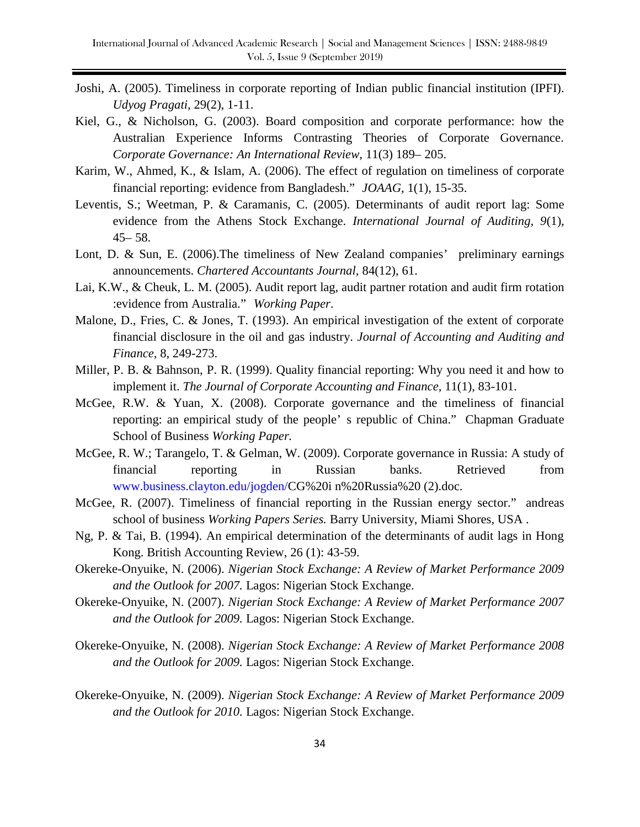- Joshi, A. (2005). Timeliness in corporate reporting of Indian public financial institution (IPFI). *Udyog Pragati,* 29(2), 1-11.
- Kiel, G., & Nicholson, G. (2003). Board composition and corporate performance: how the Australian Experience Informs Contrasting Theories of Corporate Governance. *Corporate Governance: An International Review*, 11(3) 189– 205.
- Karim, W., Ahmed, K., & Islam, A. (2006). The effect of regulation on timeliness of corporate financial reporting: evidence from Bangladesh." *JOAAG,* 1(1), 15-35.
- Leventis, S.; Weetman, P. & Caramanis, C. (2005). Determinants of audit report lag: Some evidence from the Athens Stock Exchange. *International Journal of Auditing, 9*(1), 45– 58.
- Lont, D. & Sun, E. (2006). The timeliness of New Zealand companies' preliminary earnings announcements. *Chartered Accountants Journal,* 84(12), 61.
- Lai, K.W., & Cheuk, L. M. (2005). Audit report lag, audit partner rotation and audit firm rotation :evidence from Australia." *Working Paper*.
- Malone, D., Fries, C. & Jones, T. (1993). An empirical investigation of the extent of corporate financial disclosure in the oil and gas industry. *Journal of Accounting and Auditing and Finance,* 8, 249-273.
- Miller, P. B. & Bahnson, P. R. (1999). Quality financial reporting: Why you need it and how to implement it. *The Journal of Corporate Accounting and Finance,* 11(1), 83-101.
- McGee, R.W. & Yuan, X. (2008). Corporate governance and the timeliness of financial reporting: an empirical study of the people' s republic of China." Chapman Graduate School of Business *Working Paper.*
- McGee, R. W.; Tarangelo, T. & Gelman, W. (2009). Corporate governance in Russia: A study of financial reporting in Russian banks. Retrieved from www.business.clayton.edu/jogden/CG%20i n%20Russia%20 (2).doc.
- McGee, R. (2007). Timeliness of financial reporting in the Russian energy sector." andreas school of business *Working Papers Series.* Barry University, Miami Shores, USA .
- Ng, P. & Tai, B. (1994). An empirical determination of the determinants of audit lags in Hong Kong. British Accounting Review, 26 (1): 43-59.
- Okereke-Onyuike, N. (2006). *Nigerian Stock Exchange: A Review of Market Performance 2009 and the Outlook for 2007.* Lagos: Nigerian Stock Exchange.
- Okereke-Onyuike, N. (2007). *Nigerian Stock Exchange: A Review of Market Performance 2007 and the Outlook for 2009.* Lagos: Nigerian Stock Exchange.
- Okereke-Onyuike, N. (2008). *Nigerian Stock Exchange: A Review of Market Performance 2008 and the Outlook for 2009.* Lagos: Nigerian Stock Exchange.
- Okereke-Onyuike, N. (2009). *Nigerian Stock Exchange: A Review of Market Performance 2009 and the Outlook for 2010.* Lagos: Nigerian Stock Exchange.